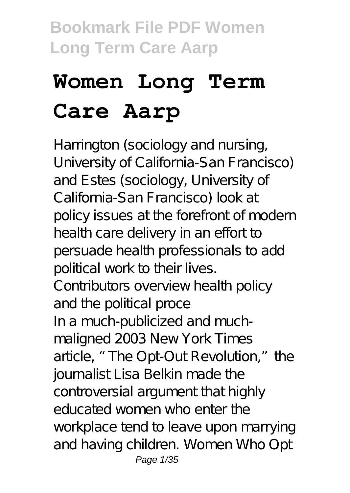# **Women Long Term Care Aarp**

Harrington (sociology and nursing, University of California-San Francisco) and Estes (sociology, University of California-San Francisco) look at policy issues at the forefront of modern health care delivery in an effort to persuade health professionals to add political work to their lives. Contributors overview health policy and the political proce In a much-publicized and muchmaligned 2003 New York Times article, "The Opt-Out Revolution," the journalist Lisa Belkin made the controversial argument that highly educated women who enter the workplace tend to leave upon marrying and having children. Women Who Opt Page 1/35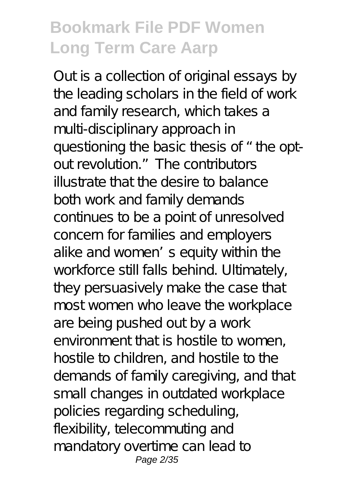Out is a collection of original essays by the leading scholars in the field of work and family research, which takes a multi-disciplinary approach in questioning the basic thesis of "the optout revolution." The contributors illustrate that the desire to balance both work and family demands continues to be a point of unresolved concern for families and employers alike and women's equity within the workforce still falls behind. Ultimately, they persuasively make the case that most women who leave the workplace are being pushed out by a work environment that is hostile to women. hostile to children, and hostile to the demands of family caregiving, and that small changes in outdated workplace policies regarding scheduling, flexibility, telecommuting and mandatory overtime can lead to Page 2/35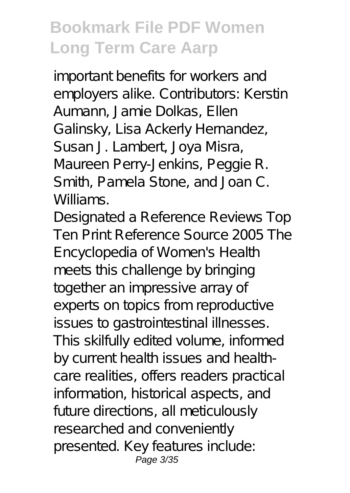important benefits for workers and employers alike. Contributors: Kerstin Aumann, Jamie Dolkas, Ellen Galinsky, Lisa Ackerly Hernandez, Susan J. Lambert, Joya Misra, Maureen Perry-Jenkins, Peggie R. Smith, Pamela Stone, and Joan C. Williams.

Designated a Reference Reviews Top Ten Print Reference Source 2005 The Encyclopedia of Women's Health meets this challenge by bringing together an impressive array of experts on topics from reproductive issues to gastrointestinal illnesses. This skilfully edited volume, informed by current health issues and healthcare realities, offers readers practical information, historical aspects, and future directions, all meticulously researched and conveniently presented. Key features include: Page 3/35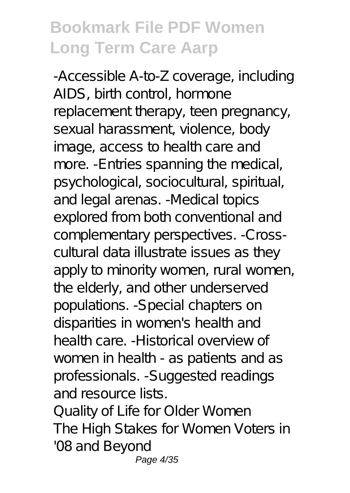-Accessible A-to-Z coverage, including AIDS, birth control, hormone replacement therapy, teen pregnancy, sexual harassment, violence, body image, access to health care and more. -Entries spanning the medical, psychological, sociocultural, spiritual, and legal arenas. -Medical topics explored from both conventional and complementary perspectives. -Crosscultural data illustrate issues as they apply to minority women, rural women, the elderly, and other underserved populations. -Special chapters on disparities in women's health and health care. -Historical overview of women in health - as patients and as professionals. -Suggested readings and resource lists.

Quality of Life for Older Women The High Stakes for Women Voters in '08 and Beyond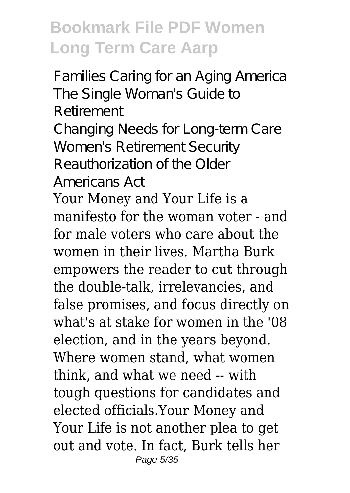Families Caring for an Aging America The Single Woman's Guide to Retirement Changing Needs for Long-term Care Women's Retirement Security Reauthorization of the Older Americans Act

Your Money and Your Life is a manifesto for the woman voter - and for male voters who care about the women in their lives. Martha Burk empowers the reader to cut through the double-talk, irrelevancies, and false promises, and focus directly on what's at stake for women in the '08 election, and in the years beyond. Where women stand, what women think, and what we need -- with tough questions for candidates and elected officials.Your Money and Your Life is not another plea to get out and vote. In fact, Burk tells her Page 5/35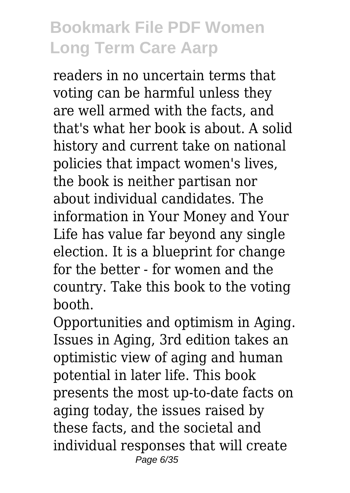readers in no uncertain terms that voting can be harmful unless they are well armed with the facts, and that's what her book is about. A solid history and current take on national policies that impact women's lives, the book is neither partisan nor about individual candidates. The information in Your Money and Your Life has value far beyond any single election. It is a blueprint for change for the better - for women and the country. Take this book to the voting booth.

Opportunities and optimism in Aging. Issues in Aging, 3rd edition takes an optimistic view of aging and human potential in later life. This book presents the most up-to-date facts on aging today, the issues raised by these facts, and the societal and individual responses that will create Page 6/35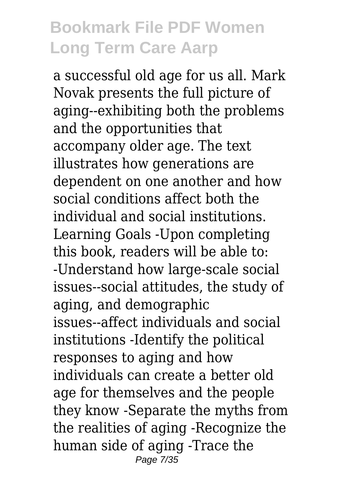a successful old age for us all. Mark Novak presents the full picture of aging--exhibiting both the problems and the opportunities that accompany older age. The text illustrates how generations are dependent on one another and how social conditions affect both the individual and social institutions. Learning Goals -Upon completing this book, readers will be able to: -Understand how large-scale social issues--social attitudes, the study of aging, and demographic issues--affect individuals and social institutions -Identify the political responses to aging and how individuals can create a better old age for themselves and the people they know -Separate the myths from the realities of aging -Recognize the human side of aging -Trace the Page 7/35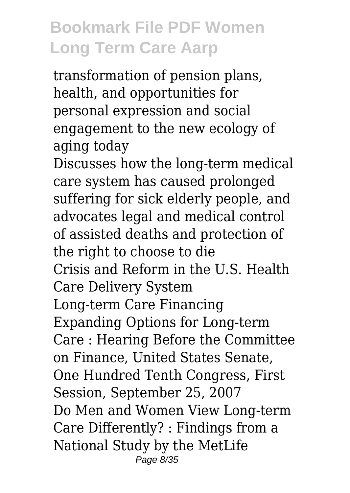transformation of pension plans, health, and opportunities for personal expression and social engagement to the new ecology of aging today

Discusses how the long-term medical care system has caused prolonged suffering for sick elderly people, and advocates legal and medical control of assisted deaths and protection of the right to choose to die Crisis and Reform in the U.S. Health Care Delivery System Long-term Care Financing Expanding Options for Long-term Care : Hearing Before the Committee on Finance, United States Senate, One Hundred Tenth Congress, First Session, September 25, 2007 Do Men and Women View Long-term Care Differently? : Findings from a National Study by the MetLife Page 8/35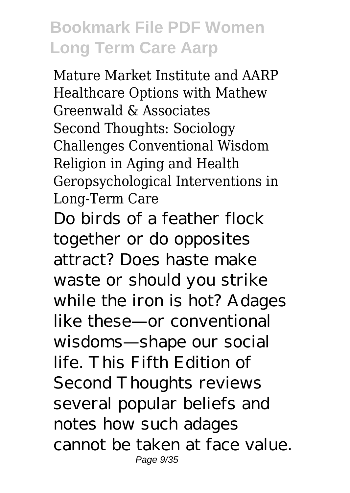Mature Market Institute and AARP Healthcare Options with Mathew Greenwald & Associates Second Thoughts: Sociology Challenges Conventional Wisdom Religion in Aging and Health Geropsychological Interventions in Long-Term Care Do birds of a feather flock together or do opposites attract? Does haste make waste or should you strike while the iron is hot? Adages like these—or conventional wisdoms—shape our social life. This Fifth Edition of Second Thoughts reviews several popular beliefs and notes how such adages cannot be taken at face value. Page 9/35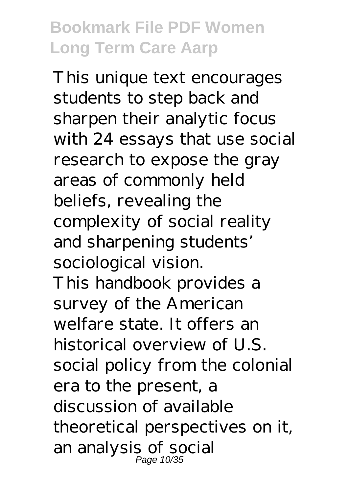This unique text encourages students to step back and sharpen their analytic focus with 24 essays that use social research to expose the gray areas of commonly held beliefs, revealing the complexity of social reality and sharpening students' sociological vision. This handbook provides a survey of the American welfare state. It offers an historical overview of U.S. social policy from the colonial era to the present, a discussion of available theoretical perspectives on it, an analysis of social Page 10/35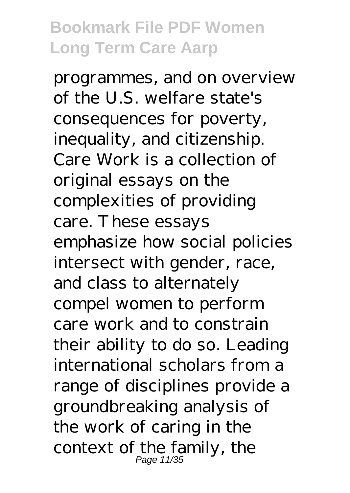programmes, and on overview of the U.S. welfare state's consequences for poverty, inequality, and citizenship. Care Work is a collection of original essays on the complexities of providing care. These essays emphasize how social policies intersect with gender, race, and class to alternately compel women to perform care work and to constrain their ability to do so. Leading international scholars from a range of disciplines provide a groundbreaking analysis of the work of caring in the context of the family, the Page 11/35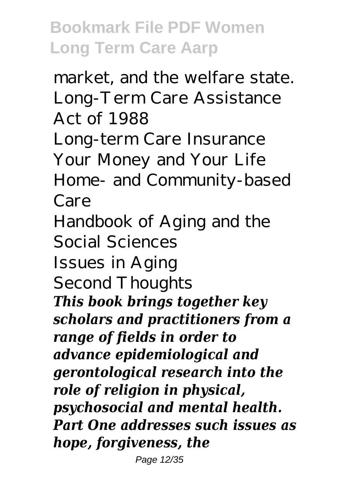market, and the welfare state. Long-Term Care Assistance Act of 1988 Long-term Care Insurance Your Money and Your Life Home- and Community-based Care Handbook of Aging and the Social Sciences Issues in Aging Second Thoughts *This book brings together key scholars and practitioners from a range of fields in order to advance epidemiological and gerontological research into the role of religion in physical, psychosocial and mental health. Part One addresses such issues as hope, forgiveness, the*

Page 12/35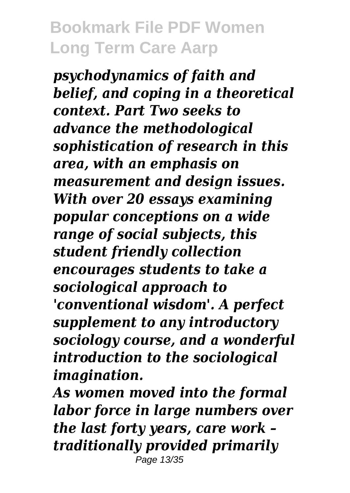*psychodynamics of faith and belief, and coping in a theoretical context. Part Two seeks to advance the methodological sophistication of research in this area, with an emphasis on measurement and design issues. With over 20 essays examining popular conceptions on a wide range of social subjects, this student friendly collection encourages students to take a sociological approach to 'conventional wisdom'. A perfect supplement to any introductory sociology course, and a wonderful introduction to the sociological imagination.*

*As women moved into the formal labor force in large numbers over the last forty years, care work – traditionally provided primarily* Page 13/35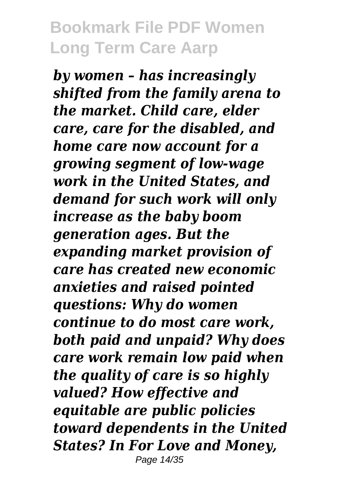*by women – has increasingly shifted from the family arena to the market. Child care, elder care, care for the disabled, and home care now account for a growing segment of low-wage work in the United States, and demand for such work will only increase as the baby boom generation ages. But the expanding market provision of care has created new economic anxieties and raised pointed questions: Why do women continue to do most care work, both paid and unpaid? Why does care work remain low paid when the quality of care is so highly valued? How effective and equitable are public policies toward dependents in the United States? In For Love and Money,* Page 14/35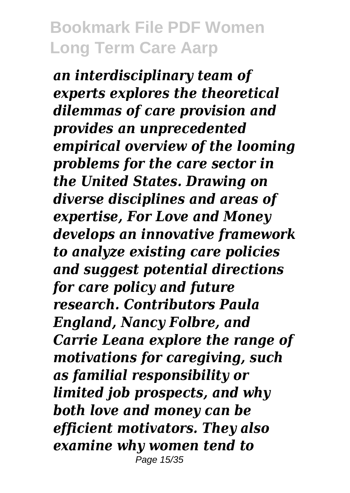*an interdisciplinary team of experts explores the theoretical dilemmas of care provision and provides an unprecedented empirical overview of the looming problems for the care sector in the United States. Drawing on diverse disciplines and areas of expertise, For Love and Money develops an innovative framework to analyze existing care policies and suggest potential directions for care policy and future research. Contributors Paula England, Nancy Folbre, and Carrie Leana explore the range of motivations for caregiving, such as familial responsibility or limited job prospects, and why both love and money can be efficient motivators. They also examine why women tend to* Page 15/35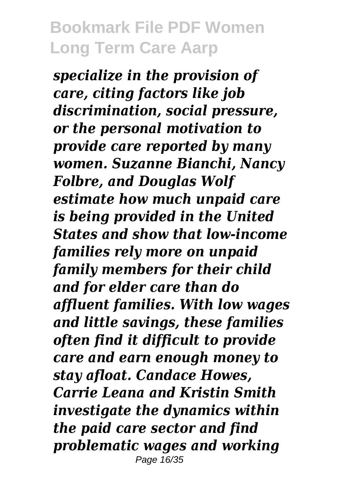*specialize in the provision of care, citing factors like job discrimination, social pressure, or the personal motivation to provide care reported by many women. Suzanne Bianchi, Nancy Folbre, and Douglas Wolf estimate how much unpaid care is being provided in the United States and show that low-income families rely more on unpaid family members for their child and for elder care than do affluent families. With low wages and little savings, these families often find it difficult to provide care and earn enough money to stay afloat. Candace Howes, Carrie Leana and Kristin Smith investigate the dynamics within the paid care sector and find problematic wages and working* Page 16/35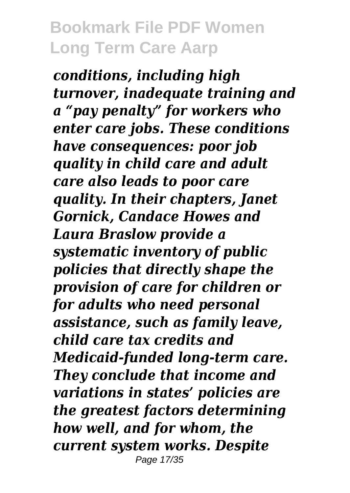*conditions, including high turnover, inadequate training and a "pay penalty" for workers who enter care jobs. These conditions have consequences: poor job quality in child care and adult care also leads to poor care quality. In their chapters, Janet Gornick, Candace Howes and Laura Braslow provide a systematic inventory of public policies that directly shape the provision of care for children or for adults who need personal assistance, such as family leave, child care tax credits and Medicaid-funded long-term care. They conclude that income and variations in states' policies are the greatest factors determining how well, and for whom, the current system works. Despite* Page 17/35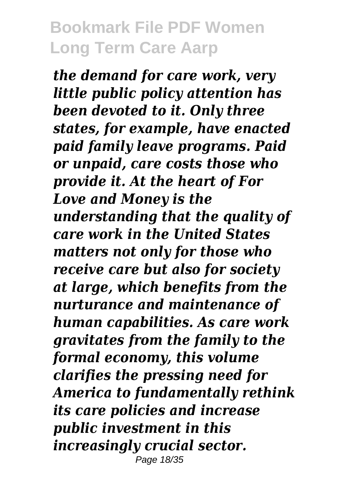*the demand for care work, very little public policy attention has been devoted to it. Only three states, for example, have enacted paid family leave programs. Paid or unpaid, care costs those who provide it. At the heart of For Love and Money is the understanding that the quality of care work in the United States matters not only for those who receive care but also for society at large, which benefits from the nurturance and maintenance of human capabilities. As care work gravitates from the family to the formal economy, this volume clarifies the pressing need for America to fundamentally rethink its care policies and increase public investment in this increasingly crucial sector.* Page 18/35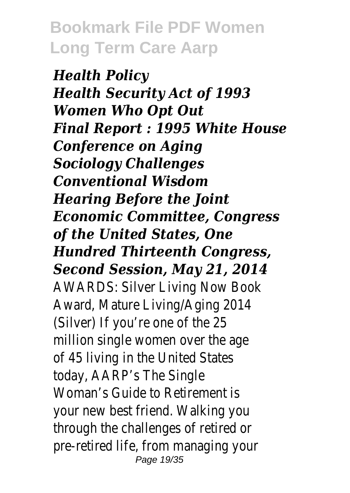*Health Policy Health Security Act of 1993 Women Who Opt Out Final Report : 1995 White House Conference on Aging Sociology Challenges Conventional Wisdom Hearing Before the Joint Economic Committee, Congress of the United States, One Hundred Thirteenth Congress, Second Session, May 21, 2014* AWARDS: Silver Living Now Book Award, Mature Living/Aging 2014 (Silver) If you're one of the 25 million single women over the age of 45 living in the United States today, AARP's The Single Woman's Guide to Retirement is your new best friend. Walking you through the challenges of retired or pre-retired life, from managing your Page 19/35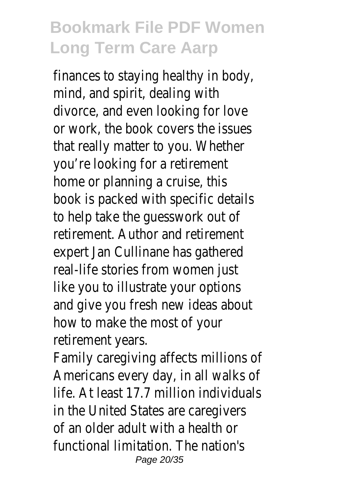finances to staying healthy in body, mind, and spirit, dealing with divorce, and even looking for love or work, the book covers the issues that really matter to you. Whether you're looking for a retirement home or planning a cruise, this book is packed with specific details to help take the guesswork out of retirement. Author and retirement expert Jan Cullinane has gathered real-life stories from women just like you to illustrate your options and give you fresh new ideas about how to make the most of your retirement years.

Family caregiving affects millions of Americans every day, in all walks of life. At least 17.7 million individuals in the United States are caregivers of an older adult with a health or functional limitation. The nation's Page 20/35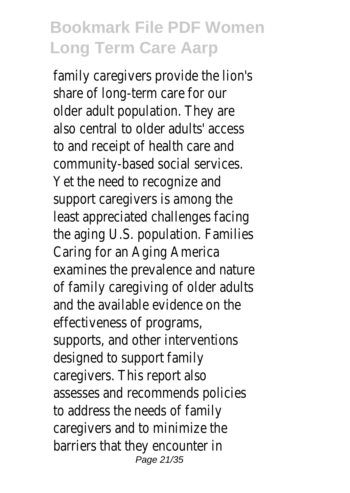family caregivers provide the lion's share of long-term care for our older adult population. They are also central to older adults' access to and receipt of health care and community-based social services. Yet the need to recognize and support caregivers is among the least appreciated challenges facing the aging U.S. population. Families Caring for an Aging America examines the prevalence and nature of family caregiving of older adults and the available evidence on the effectiveness of programs, supports, and other interventions designed to support family caregivers. This report also assesses and recommends policies to address the needs of family caregivers and to minimize the barriers that they encounter in Page 21/35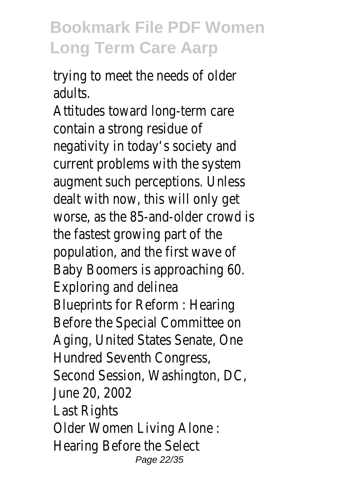trying to meet the needs of older adults.

Attitudes toward long-term care contain a strong residue of negativity in today's society and current problems with the system augment such perceptions. Unless dealt with now, this will only get worse, as the 85-and-older crowd is the fastest growing part of the population, and the first wave of Baby Boomers is approaching 60. Exploring and delinea Blueprints for Reform : Hearing Before the Special Committee on Aging, United States Senate, One Hundred Seventh Congress, Second Session, Washington, DC, June 20, 2002 Last Rights Older Women Living Alone : Hearing Before the Select Page 22/35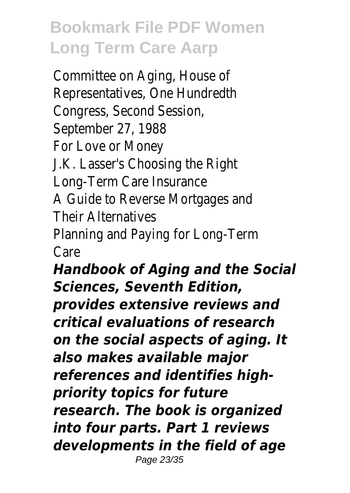Committee on Aging, House of Representatives, One Hundredth Congress, Second Session, September 27, 1988 For Love or Money J.K. Lasser's Choosing the Right Long-Term Care Insurance A Guide to Reverse Mortgages and Their Alternatives Planning and Paying for Long-Term Care *Handbook of Aging and the Social Sciences, Seventh Edition, provides extensive reviews and*

*critical evaluations of research on the social aspects of aging. It also makes available major references and identifies highpriority topics for future research. The book is organized into four parts. Part 1 reviews developments in the field of age* Page 23/35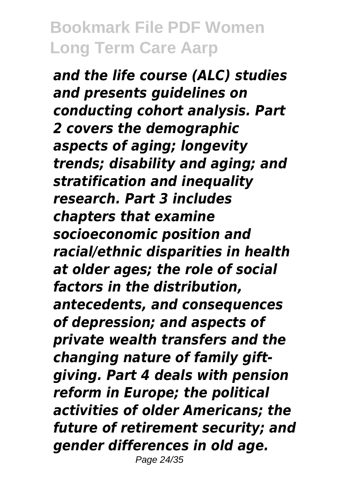*and the life course (ALC) studies and presents guidelines on conducting cohort analysis. Part 2 covers the demographic aspects of aging; longevity trends; disability and aging; and stratification and inequality research. Part 3 includes chapters that examine socioeconomic position and racial/ethnic disparities in health at older ages; the role of social factors in the distribution, antecedents, and consequences of depression; and aspects of private wealth transfers and the changing nature of family giftgiving. Part 4 deals with pension reform in Europe; the political activities of older Americans; the future of retirement security; and gender differences in old age.* Page 24/35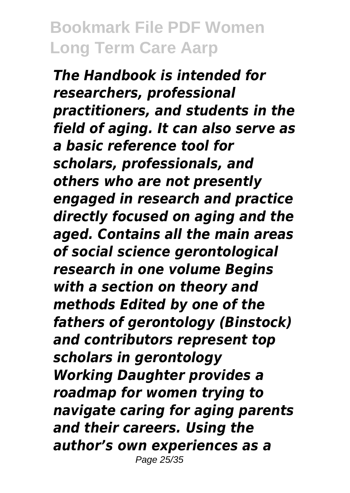*The Handbook is intended for researchers, professional practitioners, and students in the field of aging. It can also serve as a basic reference tool for scholars, professionals, and others who are not presently engaged in research and practice directly focused on aging and the aged. Contains all the main areas of social science gerontological research in one volume Begins with a section on theory and methods Edited by one of the fathers of gerontology (Binstock) and contributors represent top scholars in gerontology Working Daughter provides a roadmap for women trying to navigate caring for aging parents and their careers. Using the author's own experiences as a* Page 25/35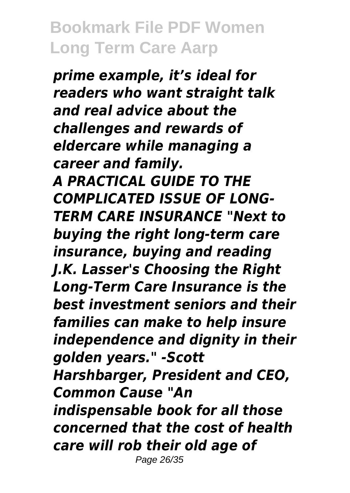*prime example, it's ideal for readers who want straight talk and real advice about the challenges and rewards of eldercare while managing a career and family. A PRACTICAL GUIDE TO THE COMPLICATED ISSUE OF LONG-TERM CARE INSURANCE "Next to buying the right long-term care insurance, buying and reading J.K. Lasser's Choosing the Right Long-Term Care Insurance is the best investment seniors and their families can make to help insure independence and dignity in their golden years." -Scott Harshbarger, President and CEO, Common Cause "An indispensable book for all those concerned that the cost of health care will rob their old age of* Page 26/35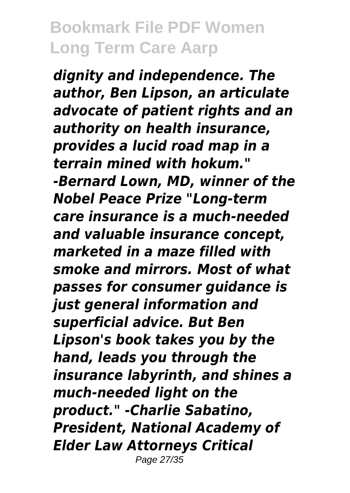*dignity and independence. The author, Ben Lipson, an articulate advocate of patient rights and an authority on health insurance, provides a lucid road map in a terrain mined with hokum." -Bernard Lown, MD, winner of the Nobel Peace Prize "Long-term care insurance is a much-needed and valuable insurance concept, marketed in a maze filled with smoke and mirrors. Most of what passes for consumer guidance is just general information and superficial advice. But Ben Lipson's book takes you by the hand, leads you through the insurance labyrinth, and shines a much-needed light on the product." -Charlie Sabatino, President, National Academy of Elder Law Attorneys Critical* Page 27/35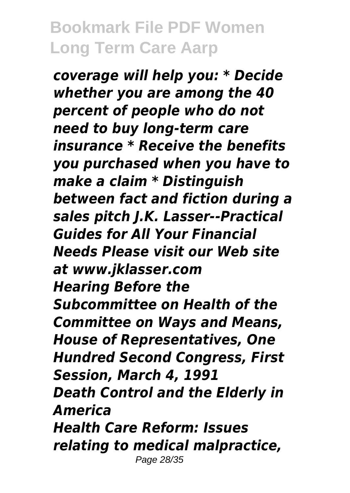*coverage will help you: \* Decide whether you are among the 40 percent of people who do not need to buy long-term care insurance \* Receive the benefits you purchased when you have to make a claim \* Distinguish between fact and fiction during a sales pitch J.K. Lasser--Practical Guides for All Your Financial Needs Please visit our Web site at www.jklasser.com Hearing Before the Subcommittee on Health of the Committee on Ways and Means, House of Representatives, One Hundred Second Congress, First Session, March 4, 1991 Death Control and the Elderly in America Health Care Reform: Issues relating to medical malpractice,* Page 28/35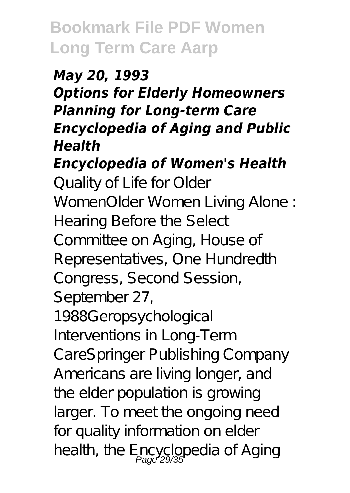#### *May 20, 1993 Options for Elderly Homeowners Planning for Long-term Care Encyclopedia of Aging and Public Health*

*Encyclopedia of Women's Health*

Quality of Life for Older WomenOlder Women Living Alone : Hearing Before the Select Committee on Aging, House of Representatives, One Hundredth Congress, Second Session, September 27,

1988Geropsychological Interventions in Long-Term CareSpringer Publishing Company Americans are living longer, and the elder population is growing larger. To meet the ongoing need for quality information on elder health, the Encyclopedia of Aging<br>Page 29/35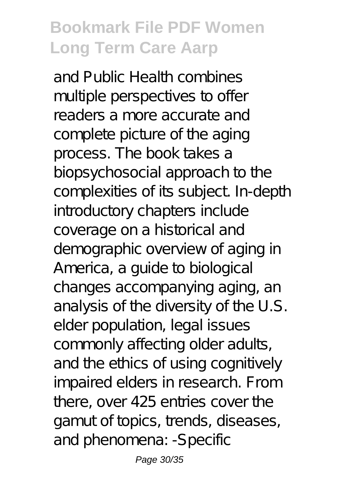and Public Health combines multiple perspectives to offer readers a more accurate and complete picture of the aging process. The book takes a biopsychosocial approach to the complexities of its subject. In-depth introductory chapters include coverage on a historical and demographic overview of aging in America, a guide to biological changes accompanying aging, an analysis of the diversity of the U.S. elder population, legal issues commonly affecting older adults, and the ethics of using cognitively impaired elders in research. From there, over 425 entries cover the gamut of topics, trends, diseases, and phenomena: -Specific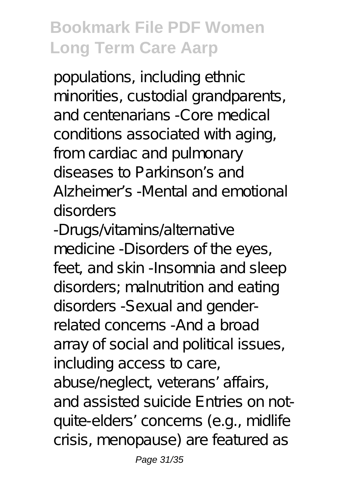populations, including ethnic minorities, custodial grandparents, and centenarians -Core medical conditions associated with aging, from cardiac and pulmonary diseases to Parkinson's and Alzheimer's -Mental and emotional disorders

-Drugs/vitamins/alternative medicine -Disorders of the eyes, feet, and skin -Insomnia and sleep disorders; malnutrition and eating disorders -Sexual and genderrelated concerns -And a broad array of social and political issues, including access to care, abuse/neglect, veterans' affairs, and assisted suicide Entries on notquite-elders' concerns (e.g., midlife crisis, menopause) are featured as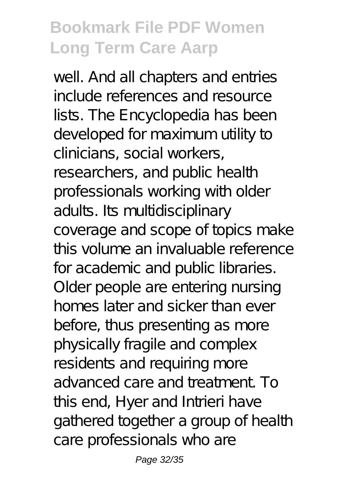well. And all chapters and entries include references and resource lists. The Encyclopedia has been developed for maximum utility to clinicians, social workers, researchers, and public health professionals working with older adults. Its multidisciplinary coverage and scope of topics make this volume an invaluable reference for academic and public libraries. Older people are entering nursing homes later and sicker than ever before, thus presenting as more physically fragile and complex residents and requiring more advanced care and treatment. To this end, Hyer and Intrieri have gathered together a group of health care professionals who are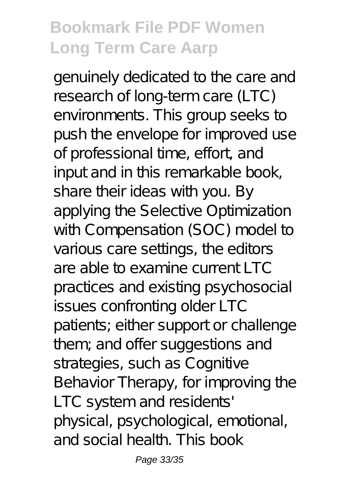genuinely dedicated to the care and research of long-term care (LTC) environments. This group seeks to push the envelope for improved use of professional time, effort, and input and in this remarkable book, share their ideas with you. By applying the Selective Optimization with Compensation (SOC) model to various care settings, the editors are able to examine current  $\overline{LC}$ practices and existing psychosocial issues confronting older LTC patients; either support or challenge them; and offer suggestions and strategies, such as Cognitive Behavior Therapy, for improving the LTC system and residents' physical, psychological, emotional, and social health. This book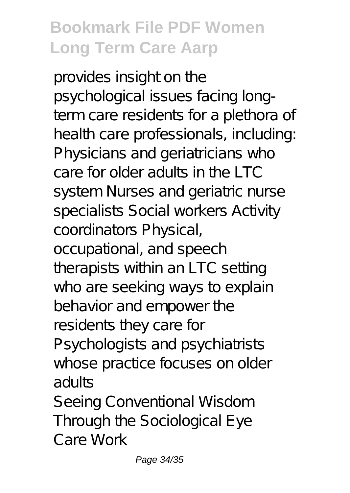provides insight on the psychological issues facing longterm care residents for a plethora of health care professionals, including: Physicians and geriatricians who care for older adults in the LTC system Nurses and geriatric nurse specialists Social workers Activity coordinators Physical, occupational, and speech therapists within an LTC setting who are seeking ways to explain behavior and empower the residents they care for Psychologists and psychiatrists whose practice focuses on older adults Seeing Conventional Wisdom Through the Sociological Eye

Care Work